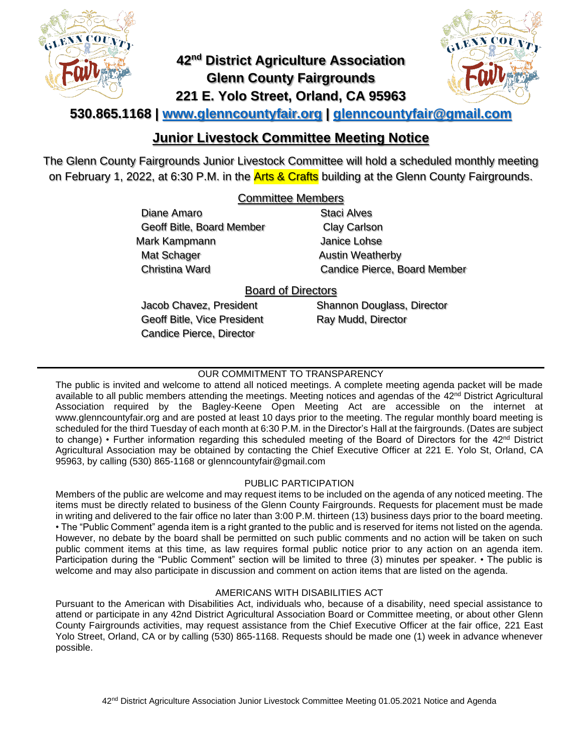

# **42nd District Agriculture Association Glenn County Fairgrounds 221 E. Yolo Street, Orland, CA 95963**



## **530.865.1168 | [www.glenncountyfair.org](http://www.glenncountyfair.org/) | [glenncountyfair@gmail.com](mailto:glenncountyfair@gmail.com)**

## **Junior Livestock Committee Meeting Notice**

The Glenn County Fairgrounds Junior Livestock Committee will hold a scheduled monthly meeting on February 1, 2022, at 6:30 P.M. in the **Arts & Crafts** building at the Glenn County Fairgrounds.

## Committee Members

Diane Amaro Geoff Bitle, Board Member Mark Kampmann Mat Schager Christina Ward

Staci Alves Clay Carlson Janice Lohse Austin Weatherby Candice Pierce, Board Member

## Board of Directors

Jacob Chavez, President Geoff Bitle, Vice President Candice Pierce, Director

Shannon Douglass, Director Ray Mudd, Director

### OUR COMMITMENT TO TRANSPARENCY

The public is invited and welcome to attend all noticed meetings. A complete meeting agenda packet will be made available to all public members attending the meetings. Meeting notices and agendas of the 42<sup>nd</sup> District Agricultural Association required by the Bagley-Keene Open Meeting Act are accessible on the internet at www.glenncountyfair.org and are posted at least 10 days prior to the meeting. The regular monthly board meeting is scheduled for the third Tuesday of each month at 6:30 P.M. in the Director's Hall at the fairgrounds. (Dates are subject to change) • Further information regarding this scheduled meeting of the Board of Directors for the 42<sup>nd</sup> District Agricultural Association may be obtained by contacting the Chief Executive Officer at 221 E. Yolo St, Orland, CA 95963, by calling (530) 865-1168 or glenncountyfair@gmail.com

#### PUBLIC PARTICIPATION

Members of the public are welcome and may request items to be included on the agenda of any noticed meeting. The items must be directly related to business of the Glenn County Fairgrounds. Requests for placement must be made in writing and delivered to the fair office no later than 3:00 P.M. thirteen (13) business days prior to the board meeting. • The "Public Comment" agenda item is a right granted to the public and is reserved for items not listed on the agenda. However, no debate by the board shall be permitted on such public comments and no action will be taken on such public comment items at this time, as law requires formal public notice prior to any action on an agenda item. Participation during the "Public Comment" section will be limited to three (3) minutes per speaker. • The public is welcome and may also participate in discussion and comment on action items that are listed on the agenda.

#### AMERICANS WITH DISABILITIES ACT

Pursuant to the American with Disabilities Act, individuals who, because of a disability, need special assistance to attend or participate in any 42nd District Agricultural Association Board or Committee meeting, or about other Glenn County Fairgrounds activities, may request assistance from the Chief Executive Officer at the fair office, 221 East Yolo Street, Orland, CA or by calling (530) 865-1168. Requests should be made one (1) week in advance whenever possible.